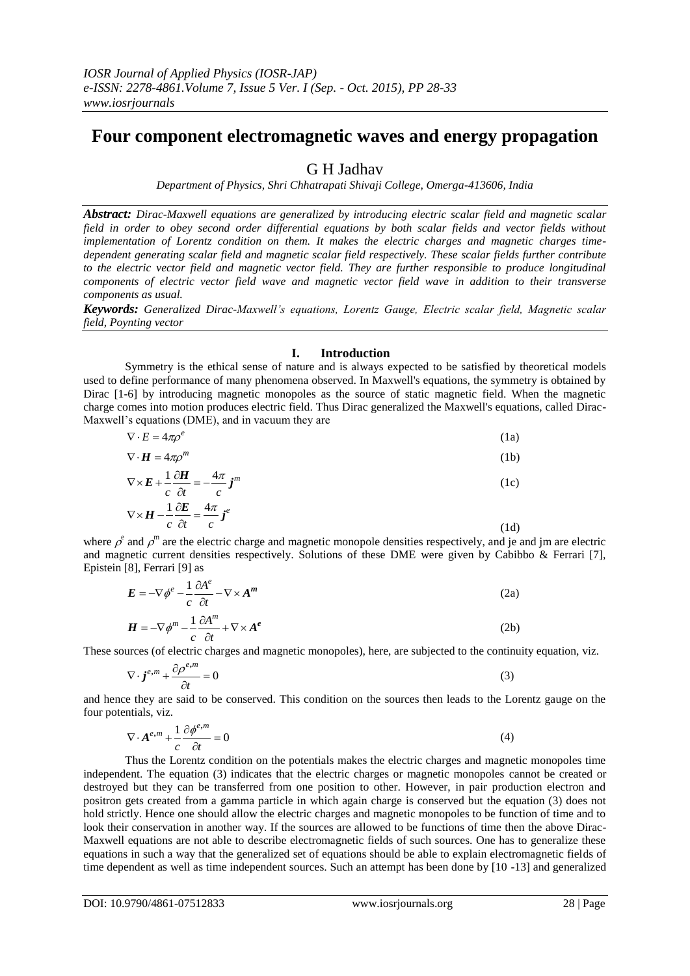# **Four component electromagnetic waves and energy propagation**

# G H Jadhav

*Department of Physics, Shri Chhatrapati Shivaji College, Omerga-413606, India*

*Abstract: Dirac-Maxwell equations are generalized by introducing electric scalar field and magnetic scalar field in order to obey second order differential equations by both scalar fields and vector fields without implementation of Lorentz condition on them. It makes the electric charges and magnetic charges timedependent generating scalar field and magnetic scalar field respectively. These scalar fields further contribute to the electric vector field and magnetic vector field. They are further responsible to produce longitudinal components of electric vector field wave and magnetic vector field wave in addition to their transverse components as usual.*

*Keywords: Generalized Dirac-Maxwell's equations, Lorentz Gauge, Electric scalar field, Magnetic scalar field, Poynting vector*

# **I. Introduction**

Symmetry is the ethical sense of nature and is always expected to be satisfied by theoretical models used to define performance of many phenomena observed. In Maxwell's equations, the symmetry is obtained by Dirac [1-6] by introducing magnetic monopoles as the source of static magnetic field. When the magnetic charge comes into motion produces electric field. Thus Dirac generalized the Maxwell's equations, called Dirac-Maxwell's equations (DME), and in vacuum they are

| $\nabla \cdot E = 4\pi \rho^e$                                                                                             | (1a) |
|----------------------------------------------------------------------------------------------------------------------------|------|
| $\nabla \cdot \boldsymbol{H} = 4\pi \rho^m$                                                                                | (1b) |
| $\nabla \times \boldsymbol{E} + \frac{1}{c} \frac{\partial \boldsymbol{H}}{\partial t} = -\frac{4\pi}{c} \boldsymbol{j}^m$ | (1c) |
| $\nabla \times H - \frac{1}{2} \frac{\partial E}{\partial t} = \frac{4\pi}{3} j^e$                                         |      |

where  $\rho^e$  and  $\rho^m$  are the electric charge and magnetic monopole densities respectively, and je and jm are electric and magnetic current densities respectively. Solutions of these DME were given by Cabibbo & Ferrari [7], Epistein [8], Ferrari [9] as

$$
E = -\nabla \phi^e - \frac{1}{c} \frac{\partial A^e}{\partial t} - \nabla \times A^m
$$
 (2a)

$$
\boldsymbol{H} = -\nabla \phi^m - \frac{1}{c} \frac{\partial \boldsymbol{A}^m}{\partial t} + \nabla \times \boldsymbol{A}^e
$$
 (2b)

These sources (of electric charges and magnetic monopoles), here, are subjected to the continuity equation, viz.

$$
\nabla \cdot \boldsymbol{j}^{e,m} + \frac{\partial \rho^{e,m}}{\partial t} = 0
$$
\n(3)

and hence they are said to be conserved. This condition on the sources then leads to the Lorentz gauge on the four potentials, viz.

$$
\nabla \cdot \mathbf{A}^{e,m} + \frac{1}{c} \frac{\partial \phi^{e,m}}{\partial t} = 0
$$
 (4)

Thus the Lorentz condition on the potentials makes the electric charges and magnetic monopoles time independent. The equation (3) indicates that the electric charges or magnetic monopoles cannot be created or destroyed but they can be transferred from one position to other. However, in pair production electron and positron gets created from a gamma particle in which again charge is conserved but the equation (3) does not hold strictly. Hence one should allow the electric charges and magnetic monopoles to be function of time and to look their conservation in another way. If the sources are allowed to be functions of time then the above Dirac-Maxwell equations are not able to describe electromagnetic fields of such sources. One has to generalize these equations in such a way that the generalized set of equations should be able to explain electromagnetic fields of time dependent as well as time independent sources. Such an attempt has been done by [10 -13] and generalized

 $c \partial t$  *c* 

 $\partial$ 

(1d)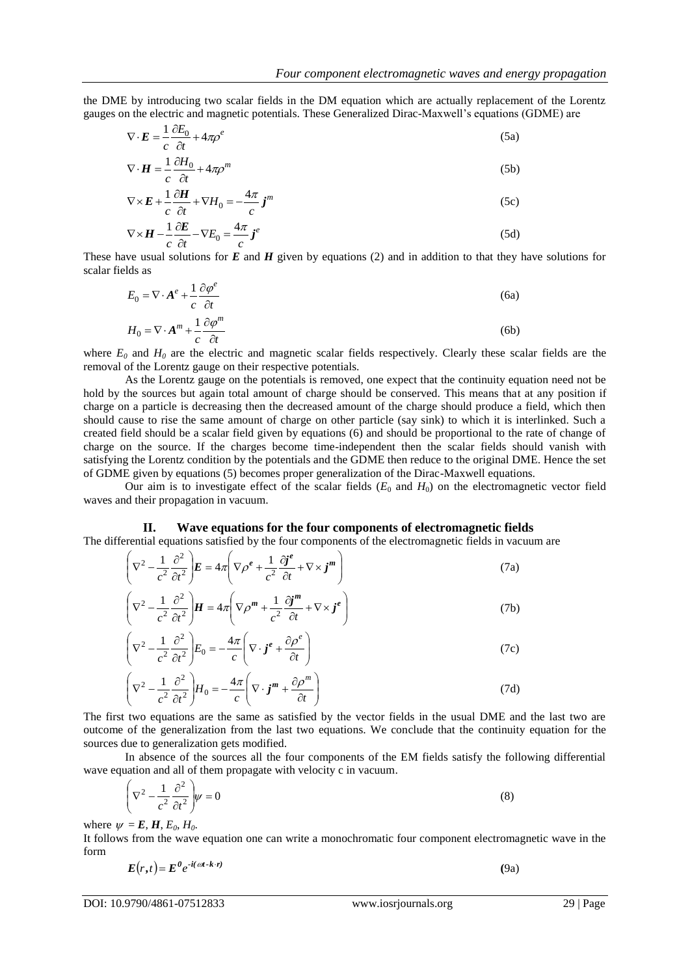the DME by introducing two scalar fields in the DM equation which are actually replacement of the Lorentz gauges on the electric and magnetic potentials. These Generalized Dirac-Maxwell's equations (GDME) are

$$
\nabla \cdot \boldsymbol{E} = \frac{1}{c} \frac{\partial E_0}{\partial t} + 4\pi \rho^e \tag{5a}
$$

$$
\nabla \cdot \boldsymbol{H} = \frac{1}{c} \frac{\partial H_0}{\partial t} + 4\pi \rho^m
$$
 (5b)

$$
\nabla \times \mathbf{E} + \frac{1}{c} \frac{\partial \mathbf{H}}{\partial t} + \nabla H_0 = -\frac{4\pi}{c} \mathbf{j}^m
$$
 (5c)

$$
\nabla \times \boldsymbol{H} - \frac{1}{c} \frac{\partial \boldsymbol{E}}{\partial t} - \nabla E_0 = \frac{4\pi}{c} \boldsymbol{j}^e
$$
 (5d)

These have usual solutions for *E* and *H* given by equations (2) and in addition to that they have solutions for scalar fields as

$$
E_0 = \nabla \cdot \mathbf{A}^e + \frac{1}{c} \frac{\partial \varphi^e}{\partial t}
$$
 (6a)

$$
H_0 = \nabla \cdot \mathbf{A}^m + \frac{1}{c} \frac{\partial \varphi^m}{\partial t} \tag{6b}
$$

where  $E_0$  and  $H_0$  are the electric and magnetic scalar fields respectively. Clearly these scalar fields are the removal of the Lorentz gauge on their respective potentials.

As the Lorentz gauge on the potentials is removed, one expect that the continuity equation need not be hold by the sources but again total amount of charge should be conserved. This means that at any position if charge on a particle is decreasing then the decreased amount of the charge should produce a field, which then should cause to rise the same amount of charge on other particle (say sink) to which it is interlinked. Such a created field should be a scalar field given by equations (6) and should be proportional to the rate of change of charge on the source. If the charges become time-independent then the scalar fields should vanish with satisfying the Lorentz condition by the potentials and the GDME then reduce to the original DME. Hence the set of GDME given by equations (5) becomes proper generalization of the Dirac-Maxwell equations.

Our aim is to investigate effect of the scalar fields  $(E_0$  and  $H_0$ ) on the electromagnetic vector field waves and their propagation in vacuum.

# **II. Wave equations for the four components of electromagnetic fields**

The differential equations satisfied by the four components of the electromagnetic fields in vacuum are

$$
\left(\nabla^2 - \frac{1}{c^2} \frac{\partial^2}{\partial t^2}\right) \boldsymbol{E} = 4\pi \left(\nabla \rho^e + \frac{1}{c^2} \frac{\partial \boldsymbol{j}^e}{\partial t} + \nabla \times \boldsymbol{j}^m\right)
$$
(7a)

$$
\left(\nabla^2 - \frac{1}{c^2} \frac{\partial^2}{\partial t^2}\right) \boldsymbol{H} = 4\pi \left(\nabla \rho^m + \frac{1}{c^2} \frac{\partial \boldsymbol{j}^m}{\partial t} + \nabla \times \boldsymbol{j}^e\right)
$$
(7b)

$$
\left(\nabla^2 - \frac{1}{c^2} \frac{\partial^2}{\partial t^2}\right) E_0 = -\frac{4\pi}{c} \left(\nabla \cdot \mathbf{j}^e + \frac{\partial \rho^e}{\partial t}\right)
$$
\n(7c)

$$
\left(\nabla^2 - \frac{1}{c^2} \frac{\partial^2}{\partial t^2}\right) H_0 = -\frac{4\pi}{c} \left(\nabla \cdot \mathbf{j}^m + \frac{\partial \rho^m}{\partial t}\right)
$$
\n(7d)

The first two equations are the same as satisfied by the vector fields in the usual DME and the last two are outcome of the generalization from the last two equations. We conclude that the continuity equation for the sources due to generalization gets modified.

In absence of the sources all the four components of the EM fields satisfy the following differential wave equation and all of them propagate with velocity c in vacuum.

$$
\left(\nabla^2 - \frac{1}{c^2} \frac{\partial^2}{\partial t^2}\right) \psi = 0
$$
\n(8)

where  $\psi = E$ ,  $H$ ,  $E_0$ ,  $H_0$ .

It follows from the wave equation one can write a monochromatic four component electromagnetic wave in the form

$$
E(r,t) = E^0 e^{-i(\omega t - k \cdot r)}
$$
\n(9a)

DOI: 10.9790/4861-07512833 www.iosrjournals.org 29 | Page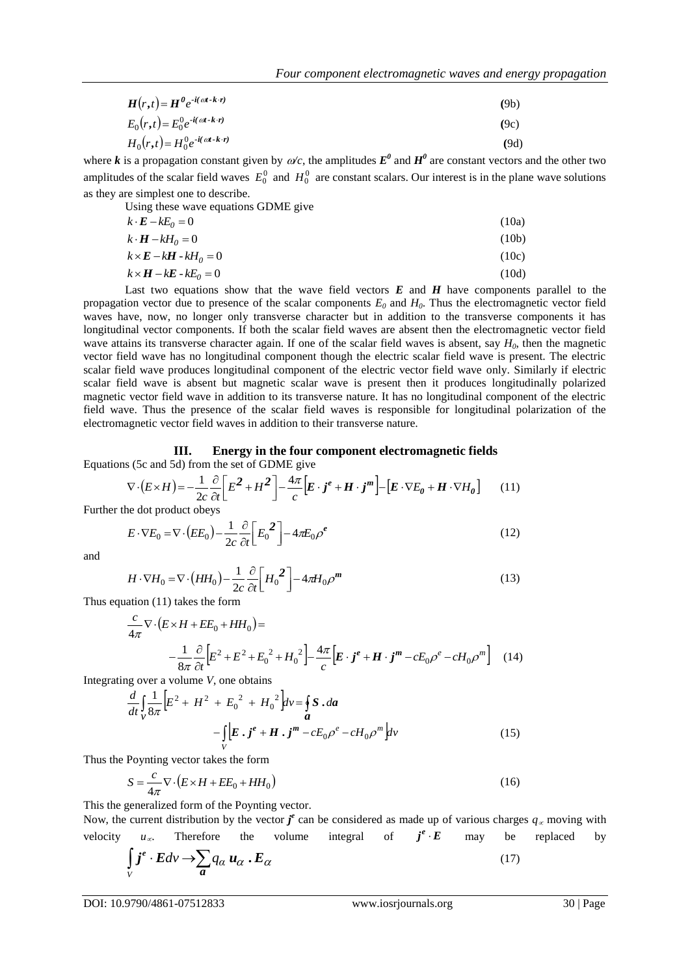| $H(r,t) = H^0 e^{-i(\omega t - k \cdot r)}$ | (9b) |
|---------------------------------------------|------|
|---------------------------------------------|------|

$$
E_0(r,t) = E_0^0 e^{-i(\alpha t - k \cdot r)}
$$
\n(9c)

$$
H_0(r,t) = H_0^0 e^{-i(\alpha t - k \cdot r)}
$$
\n
$$
(9d)
$$

where *k* is a propagation constant given by  $\omega/c$ , the amplitudes  $E^{\theta}$  and  $H^{\theta}$  are constant vectors and the other two amplitudes of the scalar field waves  $E_0^0$  and  $H_0^0$  are constant scalars. Our interest is in the plane wave solutions as they are simplest one to describe.

Using these wave equations GDME give

$$
k \cdot \mathbf{E} - k \mathbf{E}_0 = 0 \tag{10a}
$$
\n
$$
k \cdot \mathbf{H} - k \mathbf{H}_0 = 0 \tag{10b}
$$
\n
$$
k \times \mathbf{E} - k \mathbf{H} \cdot k \mathbf{H}_0 = 0 \tag{10c}
$$

$$
k \times H - kE - kE_0 = 0 \tag{10d}
$$

 $H_1(t_1) - H_2(t_2)$  with  $H_3(t_1) = H_2(t_2)$  with  $H_4(t_1) = H_3(t_1)$ . (19)<br>  $H_5(t_1) = H_2(t_2) + H_3(t_1)$  with  $H_5(t_2) = H_3(t_1)$  with  $H_4(t_2) = H_4(t_2)$  with  $H_5(t_2) = H_5(t_2)$  with  $H_5(t_2) = H_5(t_2)$  with  $H_5(t_2) = H_5(t_2)$  with  $H_5$ Last two equations show that the wave field vectors *E* and *H* have components parallel to the propagation vector due to presence of the scalar components  $E_0$  and  $H_0$ . Thus the electromagnetic vector field waves have, now, no longer only transverse character but in addition to the transverse components it has longitudinal vector components. If both the scalar field waves are absent then the electromagnetic vector field wave attains its transverse character again. If one of the scalar field waves is absent, say *H0*, then the magnetic vector field wave has no longitudinal component though the electric scalar field wave is present. The electric scalar field wave produces longitudinal component of the electric vector field wave only. Similarly if electric scalar field wave is absent but magnetic scalar wave is present then it produces longitudinally polarized magnetic vector field wave in addition to its transverse nature. It has no longitudinal component of the electric field wave. Thus the presence of the scalar field waves is responsible for longitudinal polarization of the electromagnetic vector field waves in addition to their transverse nature.

#### **III. Energy in the four component electromagnetic fields** Equations (5c and 5d) from the set of GDME give

$$
\nabla \cdot (E \times H) = -\frac{1}{2c} \frac{\partial}{\partial t} \left[ E^2 + H^2 \right] - \frac{4\pi}{c} \left[ E \cdot j^e + H \cdot j^m \right] - \left[ E \cdot \nabla E_\theta + H \cdot \nabla H_\theta \right] \tag{11}
$$

Further the dot product obeys

$$
E \cdot \nabla E_0 = \nabla \cdot \left( E E_0 \right) - \frac{1}{2c} \frac{\partial}{\partial t} \left[ E_0^2 \right] - 4\pi E_0 \rho^e \tag{12}
$$

and

$$
H \cdot \nabla H_0 = \nabla \cdot \left( H H_0 \right) - \frac{1}{2c} \frac{\partial}{\partial t} \left[ H_0^2 \right] - 4\pi H_0 \rho^m \tag{13}
$$

Thus equation (11) takes the form

$$
\frac{c}{4\pi}\nabla\cdot\left(E\times H + EE_0 + HH_0\right) =
$$
\n
$$
-\frac{1}{8\pi}\frac{\partial}{\partial t}\left[E^2 + E^2 + E_0^2 + H_0^2\right] - \frac{4\pi}{c}\left[E \cdot j^e + H \cdot j^m - cE_0\rho^e - cH_0\rho^m\right] \quad (14)
$$

Integrating over a volume *V*, one obtains

$$
\frac{d}{dt} \int_{V} \frac{1}{8\pi} \Big[ E^2 + H^2 + E_0^2 + H_0^2 \Big] dv = \oint_{a} S \cdot da
$$
\n
$$
- \int_{V} \Big[ E \cdot j^e + H \cdot j^m - c E_0 \rho^e - c H_0 \rho^m \Big] dv
$$
\n(15)

Thus the Poynting vector takes the form

$$
S = \frac{c}{4\pi} \nabla \cdot (E \times H + EE_0 + HH_0)
$$
\n(16)

This the generalized form of the Poynting vector.

Now, the current distribution by the vector  $j^e$  can be considered as made up of various charges  $q_\alpha$  moving with velocity  $u_{\infty}$ . Therefore the volume integral of  $j^e \cdot E$ may be replaced by

$$
\int\limits_V j^e \cdot E dv \to \sum\limits_a q_\alpha \, u_\alpha \, . \, E_\alpha \tag{17}
$$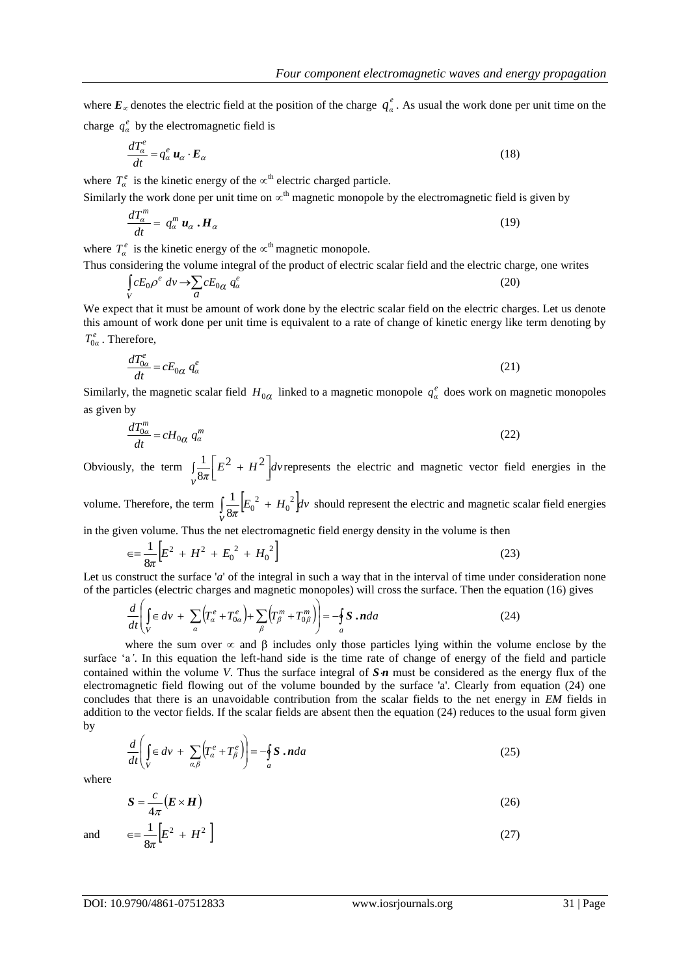where 
$$
E_{\alpha}
$$
 denotes the electric field at the position of the charge  $q_{\alpha}^e$ . As usual the work done per unit time on the charge  $q_{\alpha}^e$  by the electromagnetic field is

$$
\frac{dT_a^e}{dt} = q_a^e \mathbf{u}_\alpha \cdot \mathbf{E}_\alpha \tag{}
$$

where  $T_a^e$  is the kinetic energy of the  $\propto$ <sup>th</sup> electric charged particle.

Similarly the work done per unit time on  $\alpha^{th}$  magnetic monopole by the electromagnetic field is given by

$$
\frac{dT_{\alpha}^{m}}{dt} = q_{\alpha}^{m} \mathbf{u}_{\alpha} \cdot \mathbf{H}_{\alpha} \tag{19}
$$

where  $T_a^e$  is the kinetic energy of the  $\propto^{\text{th}}$  magnetic monopole.

Thus considering the volume integral of the product of electric scalar field and the electric charge, one writes

$$
\int_{V} cE_0 \rho^e \, dv \to \sum_{a} cE_{0a} \, q_a^e \tag{20}
$$

We expect that it must be amount of work done by the electric scalar field on the electric charges. Let us denote this amount of work done per unit time is equivalent to a rate of change of kinetic energy like term denoting by  $T_{0\alpha}^e$ . Therefore,

$$
\frac{dT_{0a}^e}{dt} = cE_{0a}q_a^e \tag{21}
$$

Similarly, the magnetic scalar field  $H_{0\alpha}$  linked to a magnetic monopole  $q_\alpha^e$  does work on magnetic monopoles as given by

$$
\frac{dT_{0\alpha}^m}{dt} = cH_{0\alpha} q_\alpha^m \tag{22}
$$

Obviously, the term  $\int_{\Omega} \frac{1}{8\pi} \left[ E^2 + H^2 \right]$  $\overline{\phantom{a}}$  $E^2 +$ *v*  $\frac{1}{\pi}$  $\left[ E^2 + H^2 \right]$ dv  $2H^2$ 8  $\frac{1}{2}\left[E^2 + H^2\right]$  dv represents the electric and magnetic vector field energies in the

volume. Therefore, the term  $\int \frac{1}{8\pi} [E_0^2 + H_0^2] d\theta$ *v*  $\frac{1}{\pi}$  $\left[E_0^2 + H_0^2\right]$ *dv*  $\frac{1}{8\pi}\Big|{E_0}^2 + H_0^2$  $\frac{1}{\infty}$  $\left[E_0^2 + H_0^2\right]$ dv should represent the electric and magnetic scalar field energies

in the given volume. Thus the net electromagnetic field energy density in the volume is then

$$
\epsilon = \frac{1}{8\pi} \Big[ E^2 + H^2 + E_0^2 + H_0^2 \Big]
$$
\n(23)

Let us construct the surface '*a*' of the integral in such a way that in the interval of time under consideration none of the particles (electric charges and magnetic monopoles) will cross the surface. Then the equation (16) gives

$$
\frac{d}{dt}\left(\int\limits_V \epsilon \, dv + \sum\limits_{\alpha} \left( T^e_{\alpha} + T^e_{0\alpha} \right) + \sum\limits_{\beta} \left( T^m_{\beta} + T^m_{0\beta} \right) \right) = -\oint\limits_{\alpha} S \cdot \mathbf{n} \, da \tag{24}
$$

where the sum over  $\infty$  and  $\beta$  includes only those particles lying within the volume enclose by the surface 'a*'*. In this equation the left-hand side is the time rate of change of energy of the field and particle contained within the volume *V*. Thus the surface integral of  $S<sub>n</sub>$  must be considered as the energy flux of the electromagnetic field flowing out of the volume bounded by the surface 'a'. Clearly from equation (24) one concludes that there is an unavoidable contribution from the scalar fields to the net energy in *EM* fields in addition to the vector fields. If the scalar fields are absent then the equation (24) reduces to the usual form given by

$$
\frac{d}{dt}\left(\int\limits_V \epsilon \, dv + \sum\limits_{\alpha,\beta} \left(T^e_{\alpha} + T^e_{\beta}\right)\right) = -\oint\limits_{a} S \cdot \mathbf{n} da \tag{25}
$$

where

$$
S = \frac{c}{4\pi} \left( E \times H \right) \tag{26}
$$

$$
\text{and} \qquad \epsilon = \frac{1}{8\pi} \Big[ E^2 + H^2 \Big] \tag{27}
$$

(18)

*Four component electromagnetic waves and energy propagation*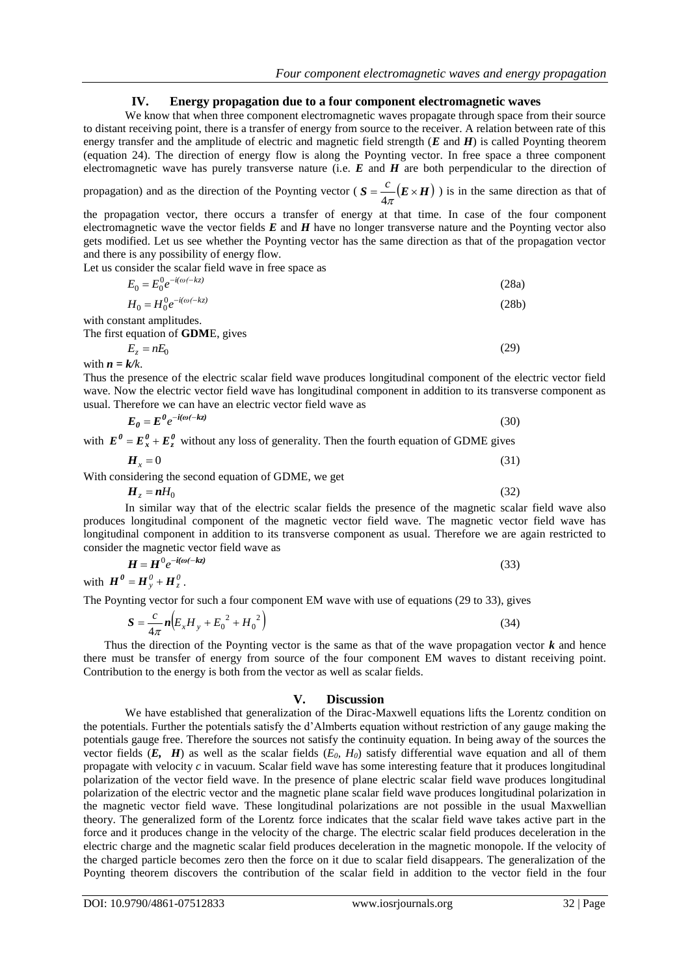## **IV. Energy propagation due to a four component electromagnetic waves**

We know that when three component electromagnetic waves propagate through space from their source to distant receiving point, there is a transfer of energy from source to the receiver. A relation between rate of this energy transfer and the amplitude of electric and magnetic field strength (*E* and *H*) is called Poynting theorem (equation 24). The direction of energy flow is along the Poynting vector. In free space a three component electromagnetic wave has purely transverse nature (i.e. *E* and *H* are both perpendicular to the direction of

propagation) and as the direction of the Poynting vector ( $S = \frac{E}{A} (E \times H)$  $4\pi$  $\frac{c}{c}$  ( $E \times H$ ) is in the same direction as that of

the propagation vector, there occurs a transfer of energy at that time. In case of the four component electromagnetic wave the vector fields *E* and *H* have no longer transverse nature and the Poynting vector also gets modified. Let us see whether the Poynting vector has the same direction as that of the propagation vector and there is any possibility of energy flow.

Let us consider the scalar field wave in free space as

| $E_0 = E_0^0 e^{-i(\omega(-kz))}$         | (28a) |
|-------------------------------------------|-------|
| $H_0 = H_0^0 e^{-i(\omega(-kz))}$         | (28b) |
| with constant amplitudes.                 |       |
| The first equation of <b>GDME</b> , gives |       |
| $E_z = nE_0$                              | (29)  |

with  $n = k/k$ .

Thus the presence of the electric scalar field wave produces longitudinal component of the electric vector field wave. Now the electric vector field wave has longitudinal component in addition to its transverse component as usual. Therefore we can have an electric vector field wave as

$$
E_0 = E^0 e^{-i(\omega(-kz))}
$$
\nwith  $E^0 = E_x^0 + E_z^0$  without any loss of generality. Then the fourth equation of GDME gives

$$
H_x = 0 \tag{31}
$$

With considering the second equation of GDME, we get

$$
H_z = nH_0 \tag{32}
$$

In similar way that of the electric scalar fields the presence of the magnetic scalar field wave also produces longitudinal component of the magnetic vector field wave. The magnetic vector field wave has longitudinal component in addition to its transverse component as usual. Therefore we are again restricted to consider the magnetic vector field wave as

$$
H = H^0 e^{-i(\omega(-kz))}
$$
  
with 
$$
H^0 = H_y^0 + H_z^0.
$$
 (33)

The Poynting vector for such a four component EM wave with use of equations (29 to 33), gives

$$
S = \frac{c}{4\pi} n (E_x H_y + E_0^2 + H_0^2)
$$
 (34)

Thus the direction of the Poynting vector is the same as that of the wave propagation vector  $\boldsymbol{k}$  and hence there must be transfer of energy from source of the four component EM waves to distant receiving point. Contribution to the energy is both from the vector as well as scalar fields.

## **V. Discussion**

We have established that generalization of the Dirac-Maxwell equations lifts the Lorentz condition on the potentials. Further the potentials satisfy the d'Almberts equation without restriction of any gauge making the potentials gauge free. Therefore the sources not satisfy the continuity equation. In being away of the sources the vector fields  $(E, H)$  as well as the scalar fields  $(E_0, H_0)$  satisfy differential wave equation and all of them propagate with velocity *c* in vacuum. Scalar field wave has some interesting feature that it produces longitudinal polarization of the vector field wave. In the presence of plane electric scalar field wave produces longitudinal polarization of the electric vector and the magnetic plane scalar field wave produces longitudinal polarization in the magnetic vector field wave. These longitudinal polarizations are not possible in the usual Maxwellian theory. The generalized form of the Lorentz force indicates that the scalar field wave takes active part in the force and it produces change in the velocity of the charge. The electric scalar field produces deceleration in the electric charge and the magnetic scalar field produces deceleration in the magnetic monopole. If the velocity of the charged particle becomes zero then the force on it due to scalar field disappears. The generalization of the Poynting theorem discovers the contribution of the scalar field in addition to the vector field in the four